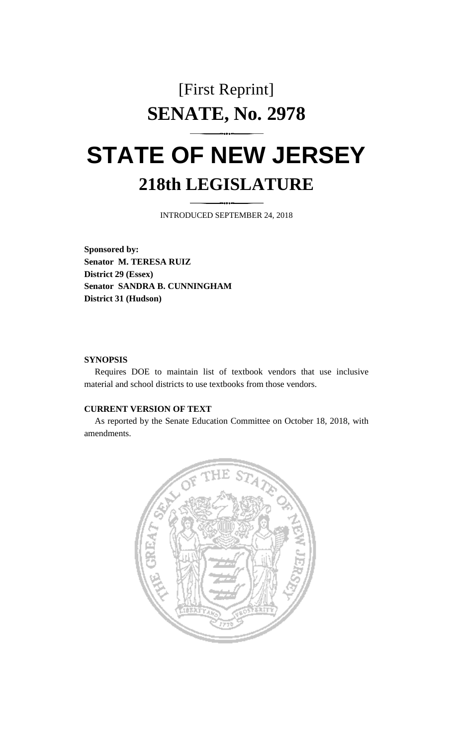## [First Reprint] **SENATE, No. 2978**

## **STATE OF NEW JERSEY 218th LEGISLATURE**

INTRODUCED SEPTEMBER 24, 2018

**Sponsored by: Senator M. TERESA RUIZ District 29 (Essex) Senator SANDRA B. CUNNINGHAM District 31 (Hudson)**

## **SYNOPSIS**

Requires DOE to maintain list of textbook vendors that use inclusive material and school districts to use textbooks from those vendors.

## **CURRENT VERSION OF TEXT**

As reported by the Senate Education Committee on October 18, 2018, with amendments.